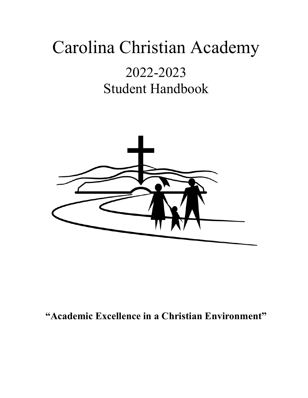# Carolina Christian Academy

# 2022-2023 Student Handbook



# **"Academic Excellence in a Christian Environment"**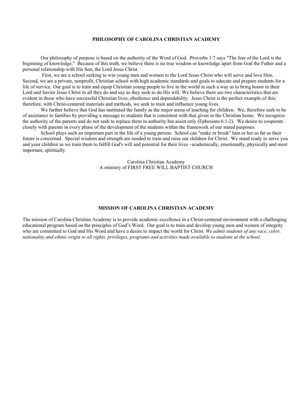# **PHILOSOPHY OF CAROLINA CHRISTIAN ACADEMY**

Our philosophy of purpose is based on the authority of the Word of God. Proverbs 1:7 says "The fear of the Lord is the beginning of knowledge." Because of this truth, we believe there is no true wisdom or knowledge apart from God the Father and a personal relationship with His Son, the Lord Jesus Christ.

First, we are a school seeking to win young men and women to the Lord Jesus Christ who will serve and love Him. Second, we are a private, nonprofit, Christian school with high academic standards and goals to educate and prepare students for a life of service. Our goal is to train and equip Christian young people to live in the world in such a way as to bring honor to their Lord and Savior Jesus Christ in all they do and say as they seek to do His will. We believe there are two characteristics that are evident in those who have successful Christian lives, obedience and dependability. Jesus Christ is the perfect example of this; therefore, with Christ-centered materials and methods, we seek to train and influence young lives.

We further believe that God has instituted the family as the major arena of teaching for children. We, therefore seek to be of assistance to families by providing a message to students that is consistent with that given in the Christian home. We recognize the authority of the parents and do not seek to replace them in authority but assist only (Ephesians 6:1-2). We desire to cooperate closely with parents in every phase of the development of the students within the framework of our stated purposes.

School plays such an important part in the life of a young person. School can "make or break" him or her as far as their future is concerned. Special wisdom and strength are needed to train and raise our children for Christ. We stand ready to serve you and your children as we train them to fulfill God's will and potential for their lives –academically, emotionally, physically and most important, spiritually.

> Carolina Christian Academy A ministry of FIRST FREE WILL BAPTIST CHURCH

#### **MISSION OF CAROLINA CHRISTIAN ACADEMY**

The mission of Carolina Christian Academy is to provide academic excellence in a Christ-centered environment with a challenging educational program based on the principles of God's Word. Our goal is to train and develop young men and women of integrity who are committed to God and His Word and have a desire to impact the world for Christ. *We admit students of any race, color, nationality and ethnic origin to all rights, privileges, programs and activities made available to students at the school*.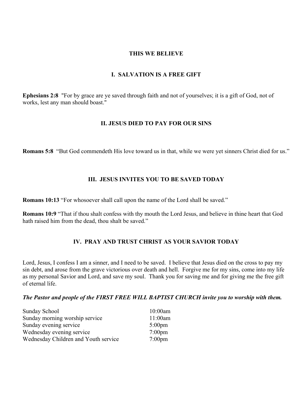# **THIS WE BELIEVE**

# **I. SALVATION IS A FREE GIFT**

**Ephesians 2:8** "For by grace are ye saved through faith and not of yourselves; it is a gift of God, not of works, lest any man should boast."

# **II. JESUS DIED TO PAY FOR OUR SINS**

**Romans 5:8** "But God commendeth His love toward us in that, while we were yet sinners Christ died for us."

# **III. JESUS INVITES YOU TO BE SAVED TODAY**

**Romans 10:13** "For whosoever shall call upon the name of the Lord shall be saved."

**Romans 10:9** "That if thou shalt confess with thy mouth the Lord Jesus, and believe in thine heart that God hath raised him from the dead, thou shalt be saved."

# **IV. PRAY AND TRUST CHRIST AS YOUR SAVIOR TODAY**

Lord, Jesus, I confess I am a sinner, and I need to be saved. I believe that Jesus died on the cross to pay my sin debt, and arose from the grave victorious over death and hell. Forgive me for my sins, come into my life as my personal Savior and Lord, and save my soul. Thank you for saving me and for giving me the free gift of eternal life.

# *The Pastor and people of the FIRST FREE WILL BAPTIST CHURCH invite you to worship with them.*

| Sunday School                        | $10:00$ am       |
|--------------------------------------|------------------|
| Sunday morning worship service       | 11:00am          |
| Sunday evening service               | $5:00 \text{pm}$ |
| Wednesday evening service            | $7:00 \text{pm}$ |
| Wednesday Children and Youth service | $7:00$ pm        |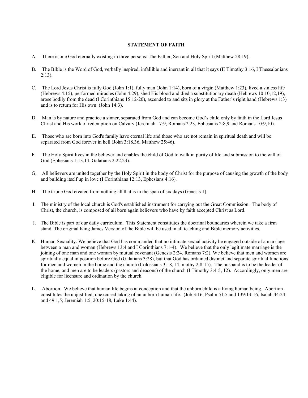#### **STATEMENT OF FAITH**

- A. There is one God eternally existing in three persons: The Father, Son and Holy Spirit (Matthew 28:19).
- B. The Bible is the Word of God, verbally inspired, infallible and inerrant in all that it says (II Timothy 3:16, I Thessalonians  $2:13$ ).
- C. The Lord Jesus Christ is fully God (John 1:1), fully man (John 1:14), born of a virgin (Matthew 1:23), lived a sinless life (Hebrews 4:15), performed miracles (John 4:29), shed His blood and died a substitutionary death (Hebrews 10:10,12,19), arose bodily from the dead (I Corinthians 15:12-20), ascended to and sits in glory at the Father's right hand (Hebrews 1:3) and is to return for His own (John 14:3).
- D. Man is by nature and practice a sinner, separated from God and can become God's child only by faith in the Lord Jesus Christ and His work of redemption on Calvary (Jeremiah 17:9, Romans 2:23, Ephesians 2:8,9 and Romans 10:9,10).
- E. Those who are born into God's family have eternal life and those who are not remain in spiritual death and will be separated from God forever in hell (John 3:18,36, Matthew 25:46).
- F. The Holy Spirit lives in the believer and enables the child of God to walk in purity of life and submission to the will of God (Ephesians 1:13,14, Galatians 2:22,23).
- G. All believers are united together by the Holy Spirit in the body of Christ for the purpose of causing the growth of the body and building itself up in love (I Corinthians 12:13, Ephesians 4:16).
- H. The triune God created from nothing all that is in the span of six days (Genesis 1).
- I. The ministry of the local church is God's established instrument for carrying out the Great Commission. The body of Christ, the church, is composed of all born again believers who have by faith accepted Christ as Lord.
- J. The Bible is part of our daily curriculum. This Statement constitutes the doctrinal boundaries wherein we take a firm stand. The original King James Version of the Bible will be used in all teaching and Bible memory activities.
- K. Human Sexuality. We believe that God has commanded that no intimate sexual activity be engaged outside of a marriage between a man and woman (Hebrews 13:4 and I Corinthians 7:1-4). We believe that the only legitimate marriage is the joining of one man and one woman by mutual covenant (Genesis 2:24, Romans 7:2). We believe that men and women are spiritually equal in position before God (Galatians 3:28), but that God has ordained distinct and separate spiritual functions for men and women in the home and the church (Colossians 3:18, I Timothy 2:8-15). The husband is to be the leader of the home, and men are to be leaders (pastors and deacons) of the church (I Timothy 3:4-5, 12). Accordingly, only men are eligible for licensure and ordination by the church.
- L. Abortion. We believe that human life begins at conception and that the unborn child is a living human being. Abortion constitutes the unjustified, unexcused taking of an unborn human life. (Job 3:16, Psalm 51:5 and 139:13-16, Isaiah 44:24 and 49:1,5; Jeremiah 1:5, 20:15-18, Luke 1:44).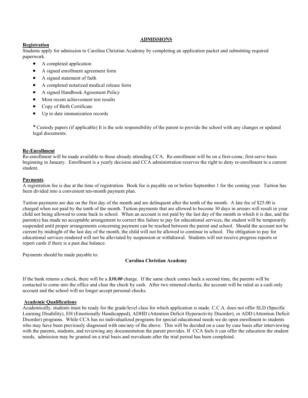# **ADMISSIONS**

# **Registration**

Students apply for admission to Carolina Christian Academy by completing an application packet and submitting required paperwork.

- A completed application
- A signed enrollment agreement form
- A signed statement of faith
- A completed notarized medical release form
- A signed Handbook Agreement Policy
- Most recent achievement test results
- Copy of Birth Certificate
- Up to date immunization records

\* Custody papers (if applicable) It is the sole responsibility of the parent to provide the school with any changes or updated legal documents.

# **Re-Enrollment**

Re-enrollment will be made available to those already attending CCA. Re-enrollment will be on a first-come, first-serve basis beginning in January. Enrollment is a yearly decision and CCA administration reserves the right to deny re-enrollment to a current student.

#### **Payments**

A registration fee is due at the time of registration. Book fee is payable on or before September 1 for the coming year. Tuition has been divided into a convenient ten-month payment plan.

Tuition payments are due on the first day of the month and are delinquent after the tenth of the month. A late fee of \$25.00 is charged when not paid by the tenth of the month. Tuition payments that are allowed to become 30 days in arrears will result in your child not being allowed to come back to school. When an account is not paid by the last day of the month in which it is due, and the parent(s) has made no acceptable arrangement to correct this failure to pay for educational services, the student will be temporarily suspended until proper arrangements concerning payment can be reached between the parent and school. Should the account not be current by midnight of the last day of the month, the child will not be allowed to continue in school. The obligation to pay for educational services rendered will not be alleviated by suspension or withdrawal. Students will not receive progress reports or report cards if there is a past due balance.

Payments should be made payable to:

# **Carolina Christian Academy**

If the bank returns a check, there will be a *\$30.00* charge. If the same check comes back a second time, the parents will be contacted to come into the office and clear the check by cash. After two returned checks, the account will be ruled as a cash only account and the school will no longer accept personal checks.

# **Academic Qualifications**

Academically, students must be ready for the grade/level class for which application is made. C.C.A. does not offer SLD (Specific Learning Disability), EH (Emotionally Handicapped), ADHD (Attention Deficit Hyperactivity Disorder), or ADD (Attention Deficit Disorder) programs. While CCA has no individualized programs for special educational needs we do open enrollment to students who may have been previously diagnosed with one/any of the above. This will be decided on a case by case basis after interviewing with the parents, students, and reviewing any documentation the parent provides. If CCA feels it can offer the education the student needs, admission may be granted on a trial basis and reevaluate after the trial period has been completed.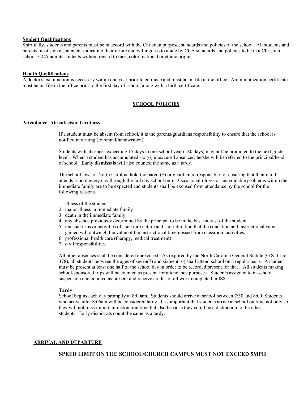#### **Student Qualifications**

Spiritually, students and parents must be in accord with the Christian purpose, standards and policies of the school. All students and parents must sign a statement indicating their desire and willingness to abide by CCA standards and policies to be in a Christian school. CCA admits students without regard to race, color, national or ethnic origin.

#### **Health Qualifications**

A doctor's examination is necessary within one year prior to entrance and must be on file in the office. An immunization certificate must be on file in the office prior to the first day of school, along with a birth certificate.

# **SCHOOL POLICIES**

#### **Attendance -Absenteeism-Tardiness**

 If a student must be absent from school, it is the parents/guardians responsibility to ensure that the school is notified in writing (txt/email/handwritten).

 Students with absences exceeding 15 days in one school year (180 days) may not be promoted to the next grade level. When a student has accumulated six (6) unexcused absences, he/she will be referred to the principal/head of school. **Early dismissals** will also counted the same as a tardy.

 The school laws of North Carolina hold the parent(S) or guardian(s) responsible for ensuring that their child attends school every day through the full day school term. Occasional illness or unavoidable problems within the immediate family are to be expected and students shall be excused from attendance by the school for the following reasons.

- 1. illness of the student
- 2. major illness in immediate family
- 3. death in the immediate family
- 4. any absence previously determined by the principal to be in the best interest of the student.
- 5. unusual trips or activities of such rare nature and short duration that the education and instructional value gained will outweigh the value of the instructional time missed from classroom activities.
- 6. professional health care (therapy, medical treatment)
- 7. civil responsibilities

 All other absences shall be considered unexcused. As required by the North Carolina General Statute (G.S. 115c- 378), all students between the ages of seven(7) and sixteen(16) shall attend school on a regular basis. A student must be present at least one half of the school day in order to be recorded present for that . All students making school-sponsored trips will be counted as present for attendance purposes. Students assigned to in-school suspension and counted as present and receive credit for all work completed in ISS.

#### **Tardy**

School begins each day promptly at 8:00am. Students should arrive at school between 7:30 and 8:00. Students who arrive after 8:05am will be considered tardy. It is important that students arrive at school on time not only so they will not miss important instruction time but also because they could be a distraction to the other students. Early dismissals count the same as a tardy.

#### **ARRIVAL AND DEPARTURE**

# **SPEED LIMIT ON THE SCHOOL/CHURCH CAMPUS MUST NOT EXCEED 5MPH**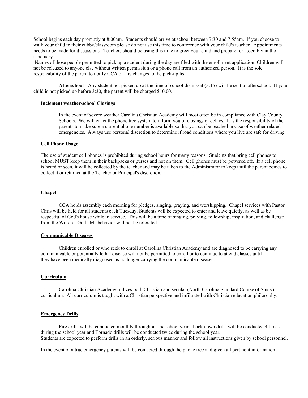School begins each day promptly at 8:00am. Students should arrive at school between 7:30 and 7:55am. If you choose to walk your child to their cubby/classroom please do not use this time to conference with your child's teacher. Appointments needs to be made for discussions. Teachers should be using this time to greet your child and prepare for assembly in the sanctuary.

Names of those people permitted to pick up a student during the day are filed with the enrollment application. Children will not be released to anyone else without written permission or a phone call from an authorized person.It is the sole responsibility of the parent to notify CCA of any changes to the pick-up list.

 **Afterschool** - Any student not picked up at the time of school dismissal (3:15) will be sent to afterschool. If your child is not picked up before 3:30, the parent will be charged \$10.00.

#### **Inclement weather/school Closings**

In the event of severe weather Carolina Christian Academy will most often be in compliance with Clay County Schools. We will enact the phone tree system to inform you of closings or delays. It is the responsibility of the parents to make sure a current phone number is available so that you can be reached in case of weather related emergencies. Always use personal discretion to determine if road conditions where you live are safe for driving.

# **Cell Phone Usage**

The use of student cell phones is prohibited during school hours for many reasons. Students that bring cell phones to school MUST keep them in their backpacks or purses and not on them. Cell phones must be powered off. If a cell phone is heard or seen, it will be collected by the teacher and may be taken to the Administrator to keep until the parent comes to collect it or returned at the Teacher or Principal's discretion.

#### **Chapel**

CCA holds assembly each morning for pledges, singing, praying, and worshipping. Chapel services with Pastor Chris will be held for all students each Tuesday. Students will be expected to enter and leave quietly, as well as be respectful of God's house while in service. This will be a time of singing, praying, fellowship, inspiration, and challenge from the Word of God. Misbehavior will not be tolerated.

#### **Communicable Diseases**

 Children enrolled or who seek to enroll at Carolina Christian Academy and are diagnosed to be carrying any communicable or potentially lethal disease will not be permitted to enroll or to continue to attend classes until they have been medically diagnosed as no longer carrying the communicable disease.

# **Curriculum**

Carolina Christian Academy utilizes both Christian and secular (North Carolina Standard Course of Study) curriculum. All curriculum is taught with a Christian perspective and infiltrated with Christian education philosophy.

#### **Emergency Drills**

 Fire drills will be conducted monthly throughout the school year. Lock down drills will be conducted 4 times during the school year and Tornado drills will be conducted twice during the school year. Students are expected to perform drills in an orderly, serious manner and follow all instructions given by school personnel.

In the event of a true emergency parents will be contacted through the phone tree and given all pertinent information.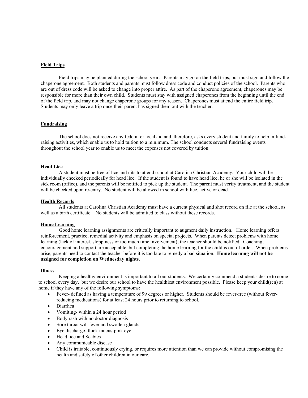# **Field Trips**

 Field trips may be planned during the school year. Parents may go on the field trips, but must sign and follow the chaperone agreement. Both students and parents must follow dress code and conduct policies of the school. Parents who are out of dress code will be asked to change into proper attire. As part of the chaperone agreement, chaperones may be responsible for more than their own child. Students must stay with assigned chaperones from the beginning until the end of the field trip, and may not change chaperone groups for any reason. Chaperones must attend the entire field trip. Students may only leave a trip once their parent has signed them out with the teacher.

# **Fundraising**

 The school does not receive any federal or local aid and, therefore, asks every student and family to help in fundraising activities, which enable us to hold tuition to a minimum. The school conducts several fundraising events throughout the school year to enable us to meet the expenses not covered by tuition.

#### **Head Lice**

 A student must be free of lice and nits to attend school at Carolina Christian Academy. Your child will be individually checked periodically for head lice. If the student is found to have head lice, he or she will be isolated in the sick room (office), and the parents will be notified to pick up the student. The parent must verify treatment, and the student will be checked upon re-entry. No student will be allowed in school with lice, active or dead.

#### **Health Records**

 All students at Carolina Christian Academy must have a current physical and shot record on file at the school, as well as a birth certificate. No students will be admitted to class without these records.

#### **Home Learning**

Good home learning assignments are critically important to augment daily instruction. Home learning offers reinforcement, practice, remedial activity and emphasis on special projects. When parents detect problems with home learning (lack of interest, sloppiness or too much time involvement), the teacher should be notified. Coaching, encouragement and support are acceptable, but completing the home learning for the child is out of order. When problems arise, parents need to contact the teacher before it is too late to remedy a bad situation. **Home learning will not be assigned for completion on Wednesday nights.**

#### **Illness**

 Keeping a healthy environment is important to all our students. We certainly commend a student's desire to come to school every day, but we desire our school to have the healthiest environment possible. Please keep your child(ren) at home if they have any of the following symptoms:

- Fever- defined as having a temperature of 99 degrees or higher. Students should be fever-free (without feverreducing medications) for at least 24 hours prior to returning to school.
- Diarrhea
- Vomiting- within a 24 hour period
- Body rash with no doctor diagnosis
- Sore throat will fever and swollen glands
- Eye discharge- thick mucus-pink eye
- Head lice and Scabies
- Any communicable disease
- Child is irritable, continuously crying, or requires more attention than we can provide without compromising the health and safety of other children in our care.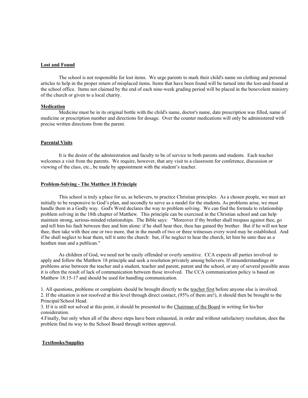#### **Lost and Found**

 The school is not responsible for lost items. We urge parents to mark their child's name on clothing and personal articles to help in the proper return of misplaced items. Items that have been found will be turned into the lost-and-found at the school office. Items not claimed by the end of each nine-week grading period will be placed in the benevolent ministry of the church or given to a local charity.

#### **Medication**

Medicine must be in its original bottle with the child's name, doctor's name, date prescription was filled, name of medicine or prescription number and directions for dosage. Over the counter medications will only be administered with precise written directions from the parent.

#### **Parental Visits**

It is the desire of the administration and faculty to be of service to both parents and students. Each teacher welcomes a visit from the parents. We require, however, that any visit to a classroom for conference, discussion or viewing of the class, etc., be made by appointment with the student's teacher.

#### **Problem-Solving - The Matthew 18 Principle**

 This school is truly a place for us, as believers, to practice Christian principles. As a chosen people, we must act initially to be responsive to God's plan, and secondly to serve as a model for the students. As problems arise, we must handle them in a Godly way. God's Word declares the way to problem solving. We can find the formula to relationship problem solving in the 18th chapter of Matthew. This principle can be exercised in the Christian school and can help maintain strong, serious-minded relationships. The Bible says: "Moreover if thy brother shall trespass against thee, go and tell him his fault between thee and him alone: if he shall hear thee, thou has gained thy brother. But if he will not hear thee, then take with thee one or two more, that in the mouth of two or three witnesses every word may be established. And if he shall neglect to hear them, tell it unto the church: but, if he neglect to hear the church, let him be unto thee as a heathen man and a publican."

 As children of God, we need not be easily offended or overly sensitive. CCA expects all parties involved to apply and follow the Matthew 18 principle and seek a resolution privately among believers. If misunderstandings or problems arise between the teacher and a student, teacher and parent, parent and the school, or any of several possible areas it is often the result of lack of communication between those involved. The CCA communication policy is based on Matthew 18:15-17 and should be used for handling communication.

1. All questions, problems or complaints should be brought directly to the teacher first before anyone else is involved. 2. If the situation is not resolved at this level through direct contact, (95% of them are!), it should then be brought to the Principal/School Head.

3. If it is still not solved at this point, it should be presented to the Chairman of the Board in writing for his/her consideration.

4.Finally, but only when all of the above steps have been exhausted, in order and without satisfactory resolution, does the problem find its way to the School Board through written approval.

# **Textbooks/Supplies**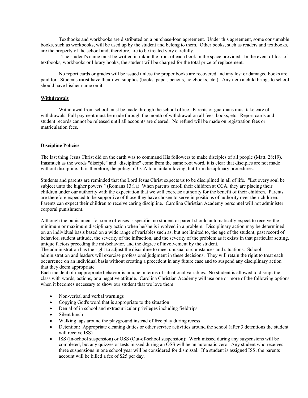Textbooks and workbooks are distributed on a purchase-loan agreement. Under this agreement, some consumable books, such as workbooks, will be used up by the student and belong to them. Other books, such as readers and textbooks, are the property of the school and, therefore, are to be treated very carefully.

 The student's name must be written in ink in the front of each book in the space provided. In the event of loss of textbooks, workbooks or library books, the student will be charged for the total price of replacement.

 No report cards or grades will be issued unless the proper books are recovered and any lost or damaged books are paid for. Students **must** have their own supplies (books, paper, pencils, notebooks, etc.). Any item a child brings to school should have his/her name on it.

#### **Withdrawals**

 Withdrawal from school must be made through the school office. Parents or guardians must take care of withdrawals. Full payment must be made through the month of withdrawal on all fees, books, etc. Report cards and student records cannot be released until all accounts are cleared. No refund will be made on registration fees or matriculation fees.

#### **Discipline Policies**

The last thing Jesus Christ did on the earth was to command His followers to make disciples of all people (Matt. 28:19). Inasmuch as the words "disciple" and "discipline" come from the same root word, it is clear that disciples are not made without discipline. It is therefore, the policy of CCA to maintain loving, but firm disciplinary procedures.

Students and parents are reminded that the Lord Jesus Christ expects us to be disciplined in all of life. "Let every soul be subject unto the higher powers." (Romans 13:1a) When parents enroll their children at CCA, they are placing their children under our authority with the expectation that we will exercise authority for the benefit of their children. Parents are therefore expected to be supportive of those they have chosen to serve in positions of authority over their children. Parents can expect their children to receive caring discipline. Carolina Christian Academy personnel will not administer corporal punishment.

Although the punishment for some offenses is specific, no student or parent should automatically expect to receive the minimum or maximum disciplinary action when he/she is involved in a problem. Disciplinary action may be determined on an individual basis based on a wide range of variables such as, but not limited to, the age of the student, past record of behavior, student attitude, the severity of the infraction, and the severity of the problem as it exists in that particular setting, unique factors preceding the misbehavior, and the degree of involvement by the student.

The administration has the right to adjust the discipline to meet unusual circumstances and situations. School administration and leaders will exercise professional judgment in these decisions. They will retain the right to treat each occurrence on an individual basis without creating a precedent in any future case and to suspend any disciplinary action that they deem appropriate.

Each incident of inappropriate behavior is unique in terms of situational variables. No student is allowed to disrupt the class with words, actions, or a negative attitude. Carolina Christian Academy will use one or more of the following options when it becomes necessary to show our student that we love them:

- Non-verbal and verbal warnings
- Copying God's word that is appropriate to the situation
- Denial of in school and extracurricular privileges including fieldtrips
- Silent lunch
- Walking laps around the playground instead of free play during recess
- Detention: Appropriate cleaning duties or other service activities around the school (after 3 detentions the student will receive ISS)
- ISS (In-school suspension) or OSS (Out-of-school suspension): Work missed during any suspensions will be completed, but any quizzes or tests missed during an OSS will be an automatic zero. Any student who receives three suspensions in one school year will be considered for dismissal. If a student is assigned ISS, the parents account will be billed a fee of \$25 per day.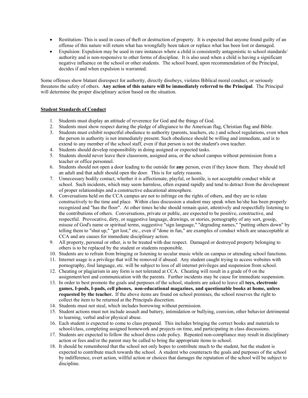- Restitution- This is used in cases of theft or destruction of property. It is expected that anyone found guilty of an offense of this nature will return what has wrongfully been taken or replace what has been lost or damaged.
- Expulsion: Expulsion may be used in rare instances where a child is consistently antagonistic to school standards/ authority and is non-responsive to other forms of discipline. It is also used when a child is having a significant negative influence on the school or other students. The school board, upon recommendation of the Principal, decides if and when expulsion is warranted.

Some offenses show blatant disrespect for authority, directly disobeys, violates Biblical moral conduct, or seriously threatens the safety of others. **Any action of this nature will be immediately referred to the Principal**. The Principal will determine the proper disciplinary action based on the situation.

# **Student Standards of Conduct**

- 1. Students must display an attitude of reverence for God and the things of God.
- 2. Students must show respect during the pledge of allegiance to the American flag, Christian flag and Bible.
- 3. Students must exhibit respectful obedience to authority (parents, teachers, etc.) and school regulations, even when the person in authority is not immediately present. Such obedience should be willing and immediate, and is to extend to any member of the school staff, even if that person is not the student's own teacher.
- 4. Students should develop responsibility in doing assigned or expected tasks.
- 5. Students should never leave their classroom, assigned area, or the school campus without permission from a teacher or office personnel.
- 6. Students should not open a door leading to the outside for **any** person, even if they know them. They should tell an adult and that adult should open the door. This is for safety reasons.
- 7. Unnecessary bodily contact, whether it is affectionate, playful, or hostile, is not acceptable conduct while at school. Such incidents, which may seem harmless, often expand rapidly and tend to detract from the development of proper relationships and a constructive educational atmosphere.
- 8. Conversations held on the CCA campus are not to infringe on the rights of others, and they are to relate constructively to the time and place. Within class discussion a student may speak when he/she has been properly recognized and "has the floor". At other times he/she should remain quiet, attentively and respectfully listening to the contributions of others. Conversations, private or public, are expected to be positive, constructive, and respectful. Provocative, dirty, or suggestive language, drawings, or stories, pornography of any sort, gossip, misuse of God's name or spiritual terms, suggestive "sign language," "degrading names," "putting others down" by telling them to "shut up," "get lost," etc., even if "done in fun," are examples of conduct which are unacceptable at CCA and are causes for immediate disciplinary action.
- 9. All property, personal or other, is to be treated with due respect. Damaged or destroyed property belonging to others is to be replaced by the student or students responsible.
- 10. Students are to refrain from bringing or listening to secular music while on campus or attending school functions.
- 11. Internet usage is a privilege that will be removed if abused. Any student caught trying to access websites with pornography, foul language, etc. will be subject to loss of all internet privileges and suspension from school.
- 12. Cheating or plagiarism in any form is not tolerated at CCA. Cheating will result in a grade of 0 on the assignment/test and communication with the parents. Further incidents may be cause for immediate suspension.
- 13. In order to best promote the goals and purposes of the school, students are asked to leave all **toys, electronic games, I-pods, I-pads, cell phones, non-educational magazines, and questionable books at home, unless requested by the teacher.** If the above items are found on school premises, the school reserves the right to collect the item to be returned at the Principals discretion.
- 14. Students must not steal, which includes borrowing without permission.
- 15. Student actions must not include assault and battery, intimidation or bullying, coercion, other behavior detrimental to learning, verbal and/or physical abuse.
- 16. Each student is expected to come to class prepared. This includes bringing the correct books and materials to school/class, completing assigned homework and projects on time, and participating in class discussions.
- 17. Students are expected to follow the school dress code policy. Repeated non-compliance may result in disciplinary action or fees and/or the parent may be called to bring the appropriate items to school.
- 18. It should be remembered that the school not only hopes to contribute much to the student, but the student is expected to contribute much towards the school. A student who counteracts the goals and purposes of the school by indifference, overt action, willful action or choices that damages the reputation of the school will be subject to discipline.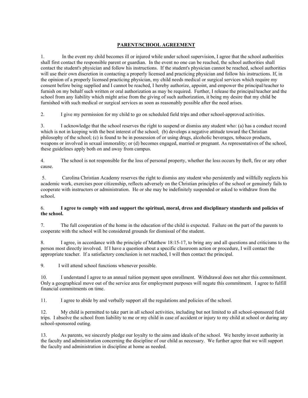# **PARENT/SCHOOL AGREEMENT**

1. In the event my child becomes ill or injured while under school supervision, I agree that the school authorities shall first contact the responsible parent or guardian. In the event no one can be reached, the school authorities shall contact the student's physician and follow his instructions. If the student's physician cannot be reached, school authorities will use their own discretion in contacting a properly licensed and practicing physician and follow his instructions. If, in the opinion of a properly licensed practicing physician, my child needs medical or surgical services which require my consent before being supplied and I cannot be reached, I hereby authorize, appoint, and empower the principal/teacher to furnish on my behalf such written or oral authorization as may be required. Further, I release the principal/teacher and the school from any liability which might arise from the giving of such authorization, it being my desire that my child be furnished with such medical or surgical services as soon as reasonably possible after the need arises.

2. I give my permission for my child to go on scheduled field trips and other school-approved activities.

3. I acknowledge that the school reserves the right to suspend or dismiss any student who: (a) has a conduct record which is not in keeping with the best interest of the school; (b) develops a negative attitude toward the Christian philosophy of the school; (c) is found to be in possession of or using drugs, alcoholic beverages, tobacco products, weapons or involved in sexual immorality; or (d) becomes engaged, married or pregnant. As representatives of the school, these guidelines apply both on and away from campus.

4. The school is not responsible for the loss of personal property, whether the loss occurs by theft, fire or any other cause.

 5. Carolina Christian Academy reserves the right to dismiss any student who persistently and willfully neglects his academic work, exercises poor citizenship, reflects adversely on the Christian principles of the school or genuinely fails to cooperate with instructors or administration. He or she may be indefinitely suspended or asked to withdraw from the school.

# 6. **I agree to comply with and support the spiritual, moral, dress and disciplinary standards and policies of the school.**

7. The full cooperation of the home in the education of the child is expected. Failure on the part of the parents to cooperate with the school will be considered grounds for dismissal of the student.

8. I agree, in accordance with the principle of Matthew 18:15-17, to bring any and all questions and criticisms to the person most directly involved. If I have a question about a specific classroom action or procedure, I will contact the appropriate teacher. If a satisfactory conclusion is not reached, I will then contact the principal.

9. I will attend school functions whenever possible.

10. I understand I agree to an annual tuition payment upon enrollment. Withdrawal does not alter this commitment. Only a geographical move out of the service area for employment purposes will negate this commitment. I agree to fulfill financial commitments on time.

11. I agree to abide by and verbally support all the regulations and policies of the school.

12. My child is permitted to take part in all school activities, including but not limited to all school-sponsored field trips. I absolve the school from liability to me or my child in case of accident or injury to my child at school or during any school-sponsored outing.

13. As parents, we sincerely pledge our loyalty to the aims and ideals of the school. We hereby invest authority in the faculty and administration concerning the discipline of our child as necessary. We further agree that we will support the faculty and administration in discipline at home as needed.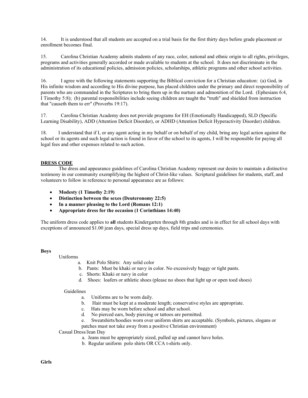14. It is understood that all students are accepted on a trial basis for the first thirty days before grade placement or enrollment becomes final.

15. Carolina Christian Academy admits students of any race, color, national and ethnic origin to all rights, privileges, programs and activities generally accorded or made available to students at the school. It does not discriminate in the administration of its educational policies, admission policies, scholarships, athletic programs and other school activities.

16. I agree with the following statements supporting the Biblical conviction for a Christian education: (a) God, in His infinite wisdom and according to His divine purpose, has placed children under the primary and direct responsibility of parents who are commanded in the Scriptures to bring them up in the nurture and admonition of the Lord. (Ephesians 6:4, I Timothy 5:8); (b) parental responsibilities include seeing children are taught the "truth" and shielded from instruction that "causeth them to err" (Proverbs 19:17).

17. Carolina Christian Academy does not provide programs for EH (Emotionally Handicapped), SLD (Specific Learning Disability), ADD (Attention Deficit Disorder), or ADHD (Attention Deficit Hyperactivity Disorder) children.

18. I understand that if I, or any agent acting in my behalf or on behalf of my child, bring any legal action against the school or its agents and such legal action is found in favor of the school to its agents, I will be responsible for paying all legal fees and other expenses related to such action.

# **DRESS CODE**

 The dress and appearance guidelines of Carolina Christian Academy represent our desire to maintain a distinctive testimony in our community exemplifying the highest of Christ-like values. Scriptural guidelines for students, staff, and volunteers to follow in reference to personal appearance are as follows:

- **Modesty (1 Timothy 2:19)**
- **Distinction between the sexes (Deuteronomy 22:5)**
- **In a manner pleasing to the Lord (Romans 12:1)**
- **Appropriate dress for the occasion (1 Corinthians 14:40)**

The uniform dress code applies to **all** students Kindergarten through 8th grades and is in effect for all school days with exceptions of announced \$1.00 jean days, special dress up days, field trips and ceremonies.

#### **Boys**

Uniforms

a. Knit Polo Shirts: Any solid color

- b. Pants: Must be khaki or navy in color. No excessively baggy or tight pants.
- c. Shorts: Khaki or navy in color
- d. Shoes: loafers or athletic shoes (please no shoes that light up or open toed shoes)

#### Guidelines

- a. Uniforms are to be worn daily.
- b. Hair must be kept at a moderate length; conservative styles are appropriate.
- c. Hats may be worn before school and after school.
- d. No pierced ears, body piercing or tattoos are permitted.
- Sweatshirts/hoodies worn over uniform shirts are acceptable. (Symbols, pictures, slogans or patches must not take away from a positive Christian environment)

Casual Dress/Jean Day

- a. Jeans must be appropriately sized, pulled up and cannot have holes.
- b. Regular uniform polo shirts OR CCA t-shirts only.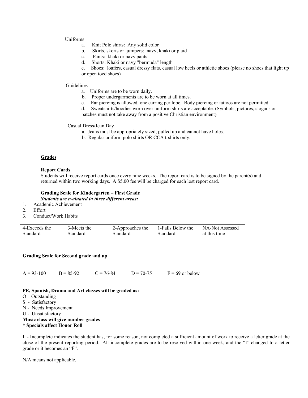#### Uniforms

- a. Knit Polo shirts: Any solid color
- b. Skirts, skorts or jumpers: navy, khaki or plaid
- c. Pants: khaki or navy pants
- d. Shorts: Khaki or navy "bermuda" length
- e. Shoes: loafers, casual dressy flats, casual low heels or athletic shoes (please no shoes that light up or open toed shoes)

#### Guidelines

- a. Uniforms are to be worn daily.
- b. Proper undergarments are to be worn at all times.
- c. Ear piercing is allowed, one earring per lobe. Body piercing or tattoos are not permitted.
- d. Sweatshirts/hoodies worn over uniform shirts are acceptable. (Symbols, pictures, slogans or

patches must not take away from a positive Christian environment)

#### Casual Dress/Jean Day

- a. Jeans must be appropriately sized, pulled up and cannot have holes.
- b. Regular uniform polo shirts OR CCA t-shirts only.

## **Grades**

#### **Report Cards**

Students will receive report cards once every nine weeks. The report card is to be signed by the parent(s) and returned within two working days. A \$5.00 fee will be charged for each lost report card.

#### **Grading Scale for Kindergarten – First Grade**

*Students are evaluated in three different areas:*

- 1. Academic Achievement<br>2. Effort
- **Effort**
- 3. Conduct/Work Habits

| 4-Exceeds the | 3-Meets the | 2-Approaches the | 1-Falls Below the | NA-Not Assessed |
|---------------|-------------|------------------|-------------------|-----------------|
| Standard      | Standard    | Standard         | Standard          | at this time    |

#### **Grading Scale for Second grade and up**

 $A = 93-100$  B = 85-92 C = 76-84 D = 70-75 F = 69 or below

#### **PE, Spanish, Drama and Art classes will be graded as:**

- O Outstanding
- S Satisfactory
- N Needs Improvement
- U Unsatisfactory

#### **Music class will give number grades \* Specials affect Honor Roll**

I - Incomplete indicates the student has, for some reason, not completed a sufficient amount of work to receive a letter grade at the close of the present reporting period. All incomplete grades are to be resolved within one week, and the "I" changed to a letter grade or it becomes an "F".

N/A means not applicable.